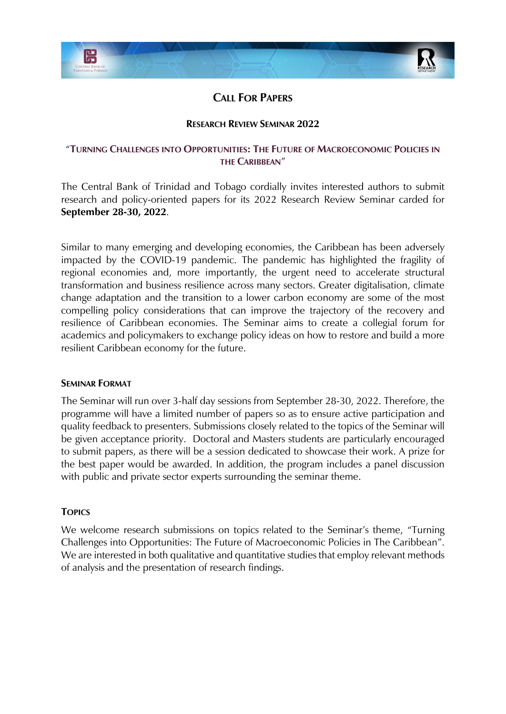

# **CALL FOR PAPERS**

## **RESEARCH REVIEW SEMINAR 2022**

## "**TURNING CHALLENGES INTO OPPORTUNITIES: THE FUTURE OF MACROECONOMIC POLICIES IN THE CARIBBEAN**"

The Central Bank of Trinidad and Tobago cordially invites interested authors to submit research and policy-oriented papers for its 2022 Research Review Seminar carded for **September 28-30, 2022**.

Similar to many emerging and developing economies, the Caribbean has been adversely impacted by the COVID-19 pandemic. The pandemic has highlighted the fragility of regional economies and, more importantly, the urgent need to accelerate structural transformation and business resilience across many sectors. Greater digitalisation, climate change adaptation and the transition to a lower carbon economy are some of the most compelling policy considerations that can improve the trajectory of the recovery and resilience of Caribbean economies. The Seminar aims to create a collegial forum for academics and policymakers to exchange policy ideas on how to restore and build a more resilient Caribbean economy for the future.

#### **SEMINAR FORMAT**

The Seminar will run over 3-half day sessions from September 28-30, 2022. Therefore, the programme will have a limited number of papers so as to ensure active participation and quality feedback to presenters. Submissions closely related to the topics of the Seminar will be given acceptance priority. Doctoral and Masters students are particularly encouraged to submit papers, as there will be a session dedicated to showcase their work. A prize for the best paper would be awarded. In addition, the program includes a panel discussion with public and private sector experts surrounding the seminar theme.

## **TOPICS**

We welcome research submissions on topics related to the Seminar's theme, "Turning Challenges into Opportunities: The Future of Macroeconomic Policies in The Caribbean". We are interested in both qualitative and quantitative studies that employ relevant methods of analysis and the presentation of research findings.